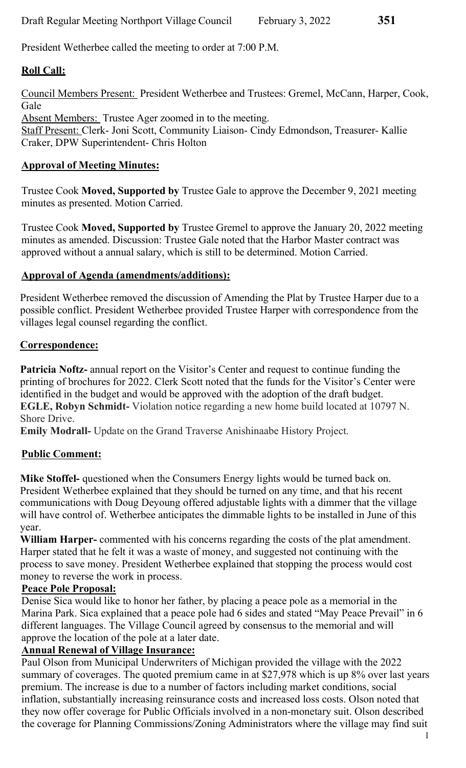President Wetherbee called the meeting to order at 7:00 P.M.

## Roll Call:

Council Members Present: President Wetherbee and Trustees: Gremel, McCann, Harper, Cook, Gale

Absent Members: Trustee Ager zoomed in to the meeting. Staff Present: Clerk- Joni Scott, Community Liaison- Cindy Edmondson, Treasurer- Kallie Craker, DPW Superintendent- Chris Holton

## Approval of Meeting Minutes:

Trustee Cook Moved, Supported by Trustee Gale to approve the December 9, 2021 meeting minutes as presented. Motion Carried.

Trustee Cook Moved, Supported by Trustee Gremel to approve the January 20, 2022 meeting minutes as amended. Discussion: Trustee Gale noted that the Harbor Master contract was approved without a annual salary, which is still to be determined. Motion Carried.

## Approval of Agenda (amendments/additions):

President Wetherbee removed the discussion of Amending the Plat by Trustee Harper due to a possible conflict. President Wetherbee provided Trustee Harper with correspondence from the villages legal counsel regarding the conflict.

### Correspondence:

Patricia Noftz- annual report on the Visitor's Center and request to continue funding the printing of brochures for 2022. Clerk Scott noted that the funds for the Visitor's Center were identified in the budget and would be approved with the adoption of the draft budget. EGLE, Robyn Schmidt- Violation notice regarding a new home build located at 10797 N. Shore Drive.

Emily Modrall- Update on the Grand Traverse Anishinaabe History Project.

## Public Comment:

Mike Stoffel- questioned when the Consumers Energy lights would be turned back on. President Wetherbee explained that they should be turned on any time, and that his recent communications with Doug Deyoung offered adjustable lights with a dimmer that the village will have control of. Wetherbee anticipates the dimmable lights to be installed in June of this year.

William Harper- commented with his concerns regarding the costs of the plat amendment. Harper stated that he felt it was a waste of money, and suggested not continuing with the process to save money. President Wetherbee explained that stopping the process would cost money to reverse the work in process.

#### Peace Pole Proposal:

Denise Sica would like to honor her father, by placing a peace pole as a memorial in the Marina Park. Sica explained that a peace pole had 6 sides and stated "May Peace Prevail" in 6 different languages. The Village Council agreed by consensus to the memorial and will approve the location of the pole at a later date.

## Annual Renewal of Village Insurance:

Paul Olson from Municipal Underwriters of Michigan provided the village with the 2022 summary of coverages. The quoted premium came in at \$27,978 which is up 8% over last years premium. The increase is due to a number of factors including market conditions, social inflation, substantially increasing reinsurance costs and increased loss costs. Olson noted that they now offer coverage for Public Officials involved in a non-monetary suit. Olson described the coverage for Planning Commissions/Zoning Administrators where the village may find suit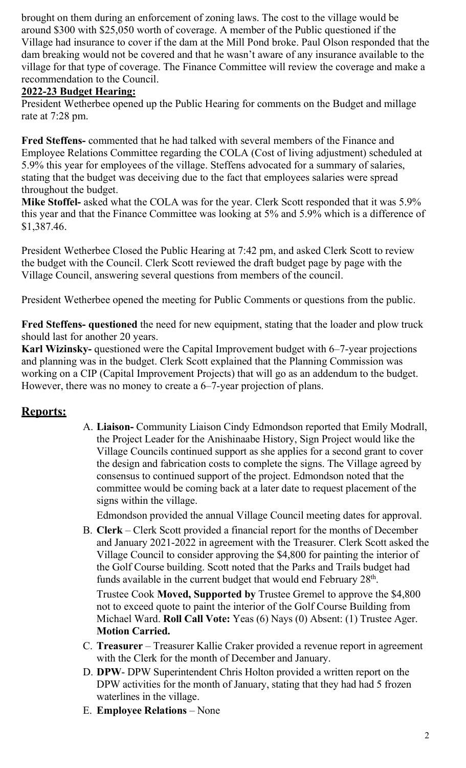brought on them during an enforcement of zoning laws. The cost to the village would be around \$300 with \$25,050 worth of coverage. A member of the Public questioned if the Village had insurance to cover if the dam at the Mill Pond broke. Paul Olson responded that the dam breaking would not be covered and that he wasn't aware of any insurance available to the village for that type of coverage. The Finance Committee will review the coverage and make a recommendation to the Council.

### 2022-23 Budget Hearing:

President Wetherbee opened up the Public Hearing for comments on the Budget and millage rate at 7:28 pm.

Fred Steffens- commented that he had talked with several members of the Finance and Employee Relations Committee regarding the COLA (Cost of living adjustment) scheduled at 5.9% this year for employees of the village. Steffens advocated for a summary of salaries, stating that the budget was deceiving due to the fact that employees salaries were spread throughout the budget.

Mike Stoffel- asked what the COLA was for the year. Clerk Scott responded that it was 5.9% this year and that the Finance Committee was looking at 5% and 5.9% which is a difference of \$1,387.46.

President Wetherbee Closed the Public Hearing at 7:42 pm, and asked Clerk Scott to review the budget with the Council. Clerk Scott reviewed the draft budget page by page with the Village Council, answering several questions from members of the council.

President Wetherbee opened the meeting for Public Comments or questions from the public.

Fred Steffens- questioned the need for new equipment, stating that the loader and plow truck should last for another 20 years.

Karl Wizinsky- questioned were the Capital Improvement budget with 6–7-year projections and planning was in the budget. Clerk Scott explained that the Planning Commission was working on a CIP (Capital Improvement Projects) that will go as an addendum to the budget. However, there was no money to create a 6–7-year projection of plans.

## Reports:

A. Liaison- Community Liaison Cindy Edmondson reported that Emily Modrall, the Project Leader for the Anishinaabe History, Sign Project would like the Village Councils continued support as she applies for a second grant to cover the design and fabrication costs to complete the signs. The Village agreed by consensus to continued support of the project. Edmondson noted that the committee would be coming back at a later date to request placement of the signs within the village.

Edmondson provided the annual Village Council meeting dates for approval.

B. Clerk – Clerk Scott provided a financial report for the months of December and January 2021-2022 in agreement with the Treasurer. Clerk Scott asked the Village Council to consider approving the \$4,800 for painting the interior of the Golf Course building. Scott noted that the Parks and Trails budget had funds available in the current budget that would end February 28<sup>th</sup>.

Trustee Cook Moved, Supported by Trustee Gremel to approve the \$4,800 not to exceed quote to paint the interior of the Golf Course Building from Michael Ward. Roll Call Vote: Yeas (6) Nays (0) Absent: (1) Trustee Ager. Motion Carried.

- C. Treasurer Treasurer Kallie Craker provided a revenue report in agreement with the Clerk for the month of December and January.
- D. DPW- DPW Superintendent Chris Holton provided a written report on the DPW activities for the month of January, stating that they had had 5 frozen waterlines in the village.
- E. Employee Relations None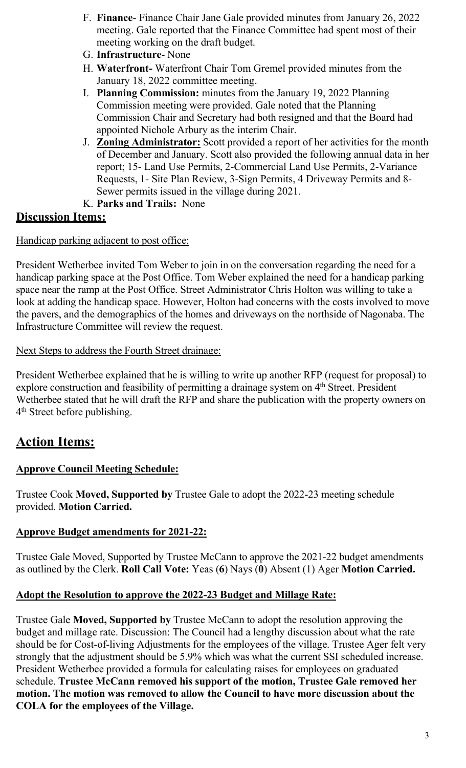- F. Finance- Finance Chair Jane Gale provided minutes from January 26, 2022 meeting. Gale reported that the Finance Committee had spent most of their meeting working on the draft budget.
- G. Infrastructure- None
- H. Waterfront- Waterfront Chair Tom Gremel provided minutes from the January 18, 2022 committee meeting.
- I. Planning Commission: minutes from the January 19, 2022 Planning Commission meeting were provided. Gale noted that the Planning Commission Chair and Secretary had both resigned and that the Board had appointed Nichole Arbury as the interim Chair.
- J. Zoning Administrator: Scott provided a report of her activities for the month of December and January. Scott also provided the following annual data in her report; 15- Land Use Permits, 2-Commercial Land Use Permits, 2-Variance Requests, 1- Site Plan Review, 3-Sign Permits, 4 Driveway Permits and 8- Sewer permits issued in the village during 2021.
- K. Parks and Trails: None

## Discussion Items:

Handicap parking adjacent to post office:

President Wetherbee invited Tom Weber to join in on the conversation regarding the need for a handicap parking space at the Post Office. Tom Weber explained the need for a handicap parking space near the ramp at the Post Office. Street Administrator Chris Holton was willing to take a look at adding the handicap space. However, Holton had concerns with the costs involved to move the pavers, and the demographics of the homes and driveways on the northside of Nagonaba. The Infrastructure Committee will review the request.

#### Next Steps to address the Fourth Street drainage:

President Wetherbee explained that he is willing to write up another RFP (request for proposal) to explore construction and feasibility of permitting a drainage system on 4<sup>th</sup> Street. President Wetherbee stated that he will draft the RFP and share the publication with the property owners on 4<sup>th</sup> Street before publishing.

# Action Items:

## Approve Council Meeting Schedule:

Trustee Cook Moved, Supported by Trustee Gale to adopt the 2022-23 meeting schedule provided. Motion Carried.

#### Approve Budget amendments for 2021-22:

Trustee Gale Moved, Supported by Trustee McCann to approve the 2021-22 budget amendments as outlined by the Clerk. Roll Call Vote: Yeas (6) Nays (0) Absent (1) Ager Motion Carried.

#### Adopt the Resolution to approve the 2022-23 Budget and Millage Rate:

Trustee Gale Moved, Supported by Trustee McCann to adopt the resolution approving the budget and millage rate. Discussion: The Council had a lengthy discussion about what the rate should be for Cost-of-living Adjustments for the employees of the village. Trustee Ager felt very strongly that the adjustment should be 5.9% which was what the current SSI scheduled increase. President Wetherbee provided a formula for calculating raises for employees on graduated schedule. Trustee McCann removed his support of the motion, Trustee Gale removed her motion. The motion was removed to allow the Council to have more discussion about the COLA for the employees of the Village.